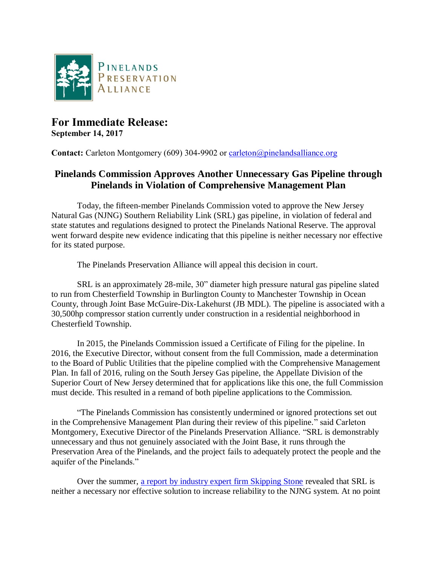

## **For Immediate Release: September 14, 2017**

**Contact:** Carleton Montgomery (609) 304-9902 or [carleton@pinelandsalliance.org](mailto:carleton@pinelandsalliance.org)

## **Pinelands Commission Approves Another Unnecessary Gas Pipeline through Pinelands in Violation of Comprehensive Management Plan**

Today, the fifteen-member Pinelands Commission voted to approve the New Jersey Natural Gas (NJNG) Southern Reliability Link (SRL) gas pipeline, in violation of federal and state statutes and regulations designed to protect the Pinelands National Reserve. The approval went forward despite new evidence indicating that this pipeline is neither necessary nor effective for its stated purpose.

The Pinelands Preservation Alliance will appeal this decision in court.

SRL is an approximately 28-mile, 30" diameter high pressure natural gas pipeline slated to run from Chesterfield Township in Burlington County to Manchester Township in Ocean County, through Joint Base McGuire-Dix-Lakehurst (JB MDL). The pipeline is associated with a 30,500hp compressor station currently under construction in a residential neighborhood in Chesterfield Township.

In 2015, the Pinelands Commission issued a Certificate of Filing for the pipeline. In 2016, the Executive Director, without consent from the full Commission, made a determination to the Board of Public Utilities that the pipeline complied with the Comprehensive Management Plan. In fall of 2016, ruling on the South Jersey Gas pipeline, the Appellate Division of the Superior Court of New Jersey determined that for applications like this one, the full Commission must decide. This resulted in a remand of both pipeline applications to the Commission.

"The Pinelands Commission has consistently undermined or ignored protections set out in the Comprehensive Management Plan during their review of this pipeline." said Carleton Montgomery, Executive Director of the Pinelands Preservation Alliance. "SRL is demonstrably unnecessary and thus not genuinely associated with the Joint Base, it runs through the Preservation Area of the Pinelands, and the project fails to adequately protect the people and the aquifer of the Pinelands."

Over the summer, [a report by industry expert firm Skipping Stone](http://www.pinelandsalliance.org/downloads/pinelandsalliance_457.pdf) revealed that SRL is neither a necessary nor effective solution to increase reliability to the NJNG system. At no point